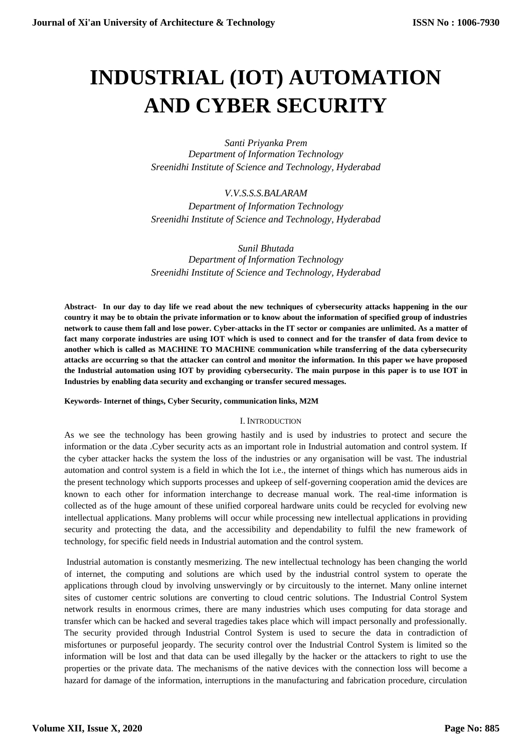# **INDUSTRIAL (IOT) AUTOMATION AND CYBER SECURITY**

*Santi Priyanka Prem Department of Information Technology Sreenidhi Institute of Science and Technology, Hyderabad*

*V.V.S.S.S.BALARAM Department of Information Technology Sreenidhi Institute of Science and Technology, Hyderabad*

*Sunil Bhutada Department of Information Technology Sreenidhi Institute of Science and Technology, Hyderabad*

**Abstract- In our day to day life we read about the new techniques of cybersecurity attacks happening in the our country it may be to obtain the private information or to know about the information of specified group of industries network to cause them fall and lose power. Cyber-attacks in the IT sector or companies are unlimited. As a matter of fact many corporate industries are using IOT which is used to connect and for the transfer of data from device to another which is called as MACHINE TO MACHINE communication while transferring of the data cybersecurity attacks are occurring so that the attacker can control and monitor the information. In this paper we have proposed the Industrial automation using IOT by providing cybersecurity. The main purpose in this paper is to use IOT in Industries by enabling data security and exchanging or transfer secured messages.**

## **Keywords- Internet of things, Cyber Security, communication links, M2M**

## I. INTRODUCTION

As we see the technology has been growing hastily and is used by industries to protect and secure the information or the data .Cyber security acts as an important role in Industrial automation and control system. If the cyber attacker hacks the system the loss of the industries or any organisation will be vast. The industrial automation and control system is a field in which the Iot i.e., the internet of things which has numerous aids in the present technology which supports processes and upkeep of self-governing cooperation amid the devices are known to each other for information interchange to decrease manual work. The real-time information is collected as of the huge amount of these unified corporeal hardware units could be recycled for evolving new intellectual applications. Many problems will occur while processing new intellectual applications in providing security and protecting the data, and the accessibility and dependability to fulfil the new framework of technology, for specific field needs in Industrial automation and the control system.

Industrial automation is constantly mesmerizing. The new intellectual technology has been changing the world of internet, the computing and solutions are which used by the industrial control system to operate the applications through cloud by involving unswervingly or by circuitously to the internet. Many online internet sites of customer centric solutions are converting to cloud centric solutions. The Industrial Control System network results in enormous crimes, there are many industries which uses computing for data storage and transfer which can be hacked and several tragedies takes place which will impact personally and professionally. The security provided through Industrial Control System is used to secure the data in contradiction of misfortunes or purposeful jeopardy. The security control over the Industrial Control System is limited so the information will be lost and that data can be used illegally by the hacker or the attackers to right to use the properties or the private data. The mechanisms of the native devices with the connection loss will become a hazard for damage of the information, interruptions in the manufacturing and fabrication procedure, circulation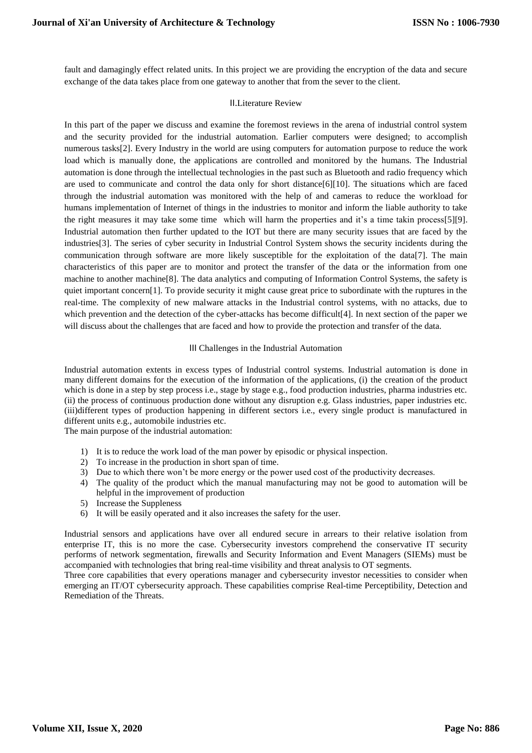fault and damagingly effect related units. In this project we are providing the encryption of the data and secure exchange of the data takes place from one gateway to another that from the sever to the client.

# II.Literature Review

In this part of the paper we discuss and examine the foremost reviews in the arena of industrial control system and the security provided for the industrial automation. Earlier computers were designed; to accomplish numerous tasks[2]. Every Industry in the world are using computers for automation purpose to reduce the work load which is manually done, the applications are controlled and monitored by the humans. The Industrial automation is done through the intellectual technologies in the past such as Bluetooth and radio frequency which are used to communicate and control the data only for short distance[6][10]. The situations which are faced through the industrial automation was monitored with the help of and cameras to reduce the workload for humans implementation of Internet of things in the industries to monitor and inform the liable authority to take the right measures it may take some time which will harm the properties and it's a time takin process[5][9]. Industrial automation then further updated to the IOT but there are many security issues that are faced by the industries[3]. The series of cyber security in Industrial Control System shows the security incidents during the communication through software are more likely susceptible for the exploitation of the data[7]. The main characteristics of this paper are to monitor and protect the transfer of the data or the information from one machine to another machine[8]. The data analytics and computing of Information Control Systems, the safety is quiet important concern<sup>[1]</sup>. To provide security it might cause great price to subordinate with the ruptures in the real-time. The complexity of new malware attacks in the Industrial control systems, with no attacks, due to which prevention and the detection of the cyber-attacks has become difficult<sup>[4]</sup>. In next section of the paper we will discuss about the challenges that are faced and how to provide the protection and transfer of the data.

# III Challenges in the Industrial Automation

Industrial automation extents in excess types of Industrial control systems. Industrial automation is done in many different domains for the execution of the information of the applications, (i) the creation of the product which is done in a step by step process i.e., stage by stage e.g., food production industries, pharma industries etc. (ii) the process of continuous production done without any disruption e.g. Glass industries, paper industries etc. (iii)different types of production happening in different sectors i.e., every single product is manufactured in different units e.g., automobile industries etc.

The main purpose of the industrial automation:

- 1) It is to reduce the work load of the man power by episodic or physical inspection.
- 2) To increase in the production in short span of time.
- 3) Due to which there won't be more energy or the power used cost of the productivity decreases.
- 4) The quality of the product which the manual manufacturing may not be good to automation will be helpful in the improvement of production
- 5) Increase the Suppleness
- 6) It will be easily operated and it also increases the safety for the user.

Industrial sensors and applications have over all endured secure in arrears to their relative isolation from enterprise IT, this is no more the case. Cybersecurity investors comprehend the conservative IT security performs of network segmentation, firewalls and Security Information and Event Managers (SIEMs) must be accompanied with technologies that bring real-time visibility and threat analysis to OT segments.

Three core capabilities that every operations manager and cybersecurity investor necessities to consider when emerging an IT/OT cybersecurity approach. These capabilities comprise Real-time Perceptibility, Detection and Remediation of the Threats.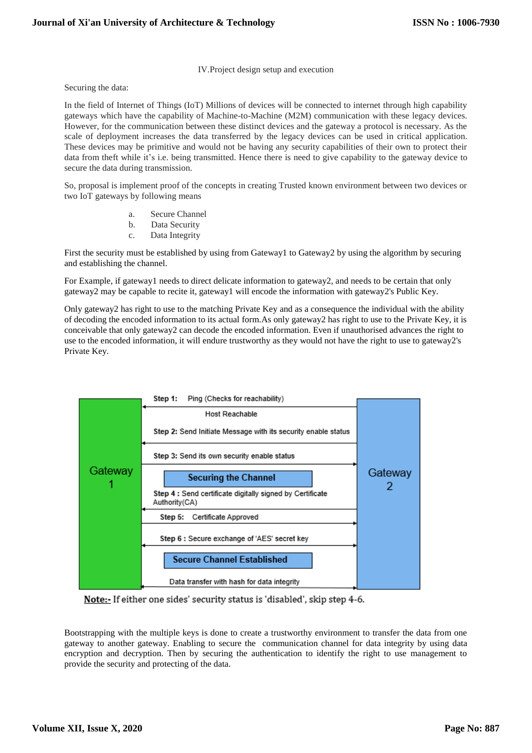# IV.Project design setup and execution

Securing the data:

In the field of Internet of Things (IoT) Millions of devices will be connected to internet through high capability gateways which have the capability of Machine-to-Machine (M2M) communication with these legacy devices. However, for the communication between these distinct devices and the gateway a protocol is necessary. As the scale of deployment increases the data transferred by the legacy devices can be used in critical application. These devices may be primitive and would not be having any security capabilities of their own to protect their data from theft while it's i.e. being transmitted. Hence there is need to give capability to the gateway device to secure the data during transmission.

So, proposal is implement proof of the concepts in creating Trusted known environment between two devices or two IoT gateways by following means

- a. Secure Channel
- b. Data Security
- c. Data Integrity

First the security must be established by using from Gateway1 to Gateway2 by using the algorithm by securing and establishing the channel.

For Example, if gateway1 needs to direct delicate information to gateway2, and needs to be certain that only gateway2 may be capable to recite it, gateway1 will encode the information with gateway2's Public Key.

Only gateway2 has right to use to the matching Private Key and as a consequence the individual with the ability of decoding the encoded information to its actual form.As only gateway2 has right to use to the Private Key, it is conceivable that only gateway2 can decode the encoded information. Even if unauthorised advances the right to use to the encoded information, it will endure trustworthy as they would not have the right to use to gateway2's Private Key.



Note:- If either one sides' security status is 'disabled', skip step 4-6.

Bootstrapping with the multiple keys is done to create a trustworthy environment to transfer the data from one gateway to another gateway. Enabling to secure the communication channel for data integrity by using data encryption and decryption. Then by securing the authentication to identify the right to use management to provide the security and protecting of the data.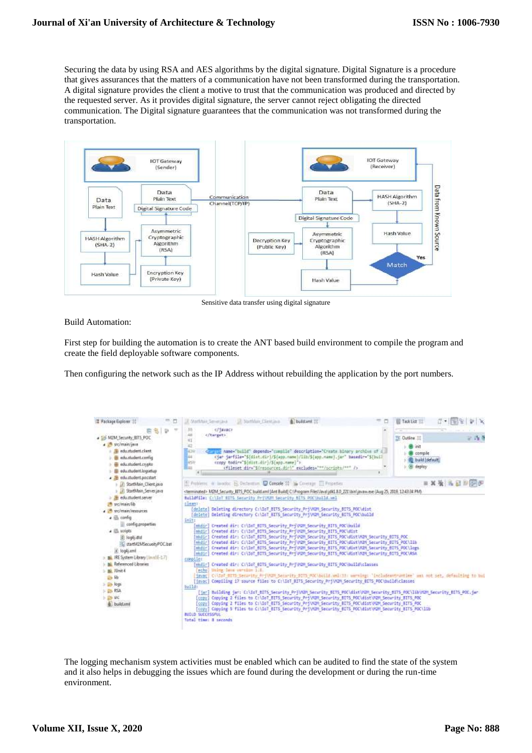Securing the data by using RSA and AES algorithms by the digital signature. Digital Signature is a procedure that gives assurances that the matters of a communication have not been transformed during the transportation. A digital signature provides the client a motive to trust that the communication was produced and directed by the requested server. As it provides digital signature, the server cannot reject obligating the directed communication. The Digital signature guarantees that the communication was not transformed during the transportation.



Sensitive data transfer using digital signature

Build Automation:

First step for building the automation is to create the ANT based build environment to compile the program and create the field deployable software components.

Then configuring the network such as the IP Address without rebuilding the application by the port numbers.



The logging mechanism system activities must be enabled which can be audited to find the state of the system and it also helps in debugging the issues which are found during the development or during the run-time environment.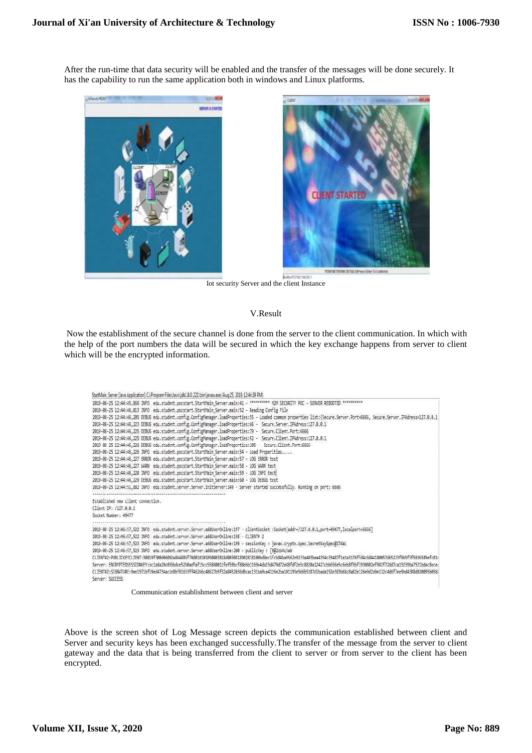After the run-time that data security will be enabled and the transfer of the messages will be done securely. It has the capability to run the same application both in windows and Linux platforms.





Iot security Server and the client Instance

#### V.Result

Now the establishment of the secure channel is done from the server to the client communication. In which with the help of the port numbers the data will be secured in which the key exchange happens from server to client which will be the encrypted information.

```
StartMain_Server [Java Application] C:\Program Files\Java\jdk1.8.0_221\bin\javaw.exe (Aug.25, 2019, 12:44:39 PM)
2019-08-25 12:44:45,866 INFO edu.student.pocstart.StartMain Server.main:41 - ********** M2M SECURITY POC - SERVER REBOOTED ***********
2019-08-25 12:44:46,013 INFO edu.student.pocstart.StartMain Server.main:52 - Reading Config File
2019-08-25 12:44:46,205 DEBUG edu.student.config.ConfigManager.loadProperties:55 - Loaded common properties list:{Secure.Server.Port=6666, Secure.Server.IPAdress=127.0.0.1
2019-08-25 12:44:46,223 DEBUG edu.student.config.ConfigManager.loadProperties:66 - Secure.Server.IPAdress:127.0.0.1
2019-08-25 12:44:46,225 DEBUG edu.student.config.ConfigManager.loadProperties:79 - Secure.Client.Port:6666
2019-08-25 12:44:46,225 DEBUG edu.student.config.ConfigManager.loadProperties:92 - Secure.Client.IPAdress:127.0.0.1
2019-08-25 12:44:46,226 DEBUG edu.student.config.ConfigManager.loadProperties:105 - Secure.Client.Port:6666
2019-08-25 12:44:46,226 INFO edu.student.pocstart.StartMain_Server.main:54 - Load Properities.....
2019-08-25 12:44:46,227 ERROR edu.student.pocstart.StartMain_Server.main:57 - LOG ERROR test
2019-08-25 12:44:46,227 HARN edu.student.pocstart.StartMain Server.main:58 - LOG HARN test
2019-08-25 12:44:46,228 INFO edu.student.pocstart.StartMain_Server.main:59 - LOG INFO test
2019-08-25 12:44:46,229 DEBUG edu.student.pocstart.StartMain Server.main:60 - LOG DEBUG test
2019-08-25 12:44:51,882 INFO edu.student.server.Server.initServer:149 - Server started successfully. Running on port: 6666
Established new client connection
Client IP: /127.0.0.1
Socket Number: 49477
2019-08-25 12:46:57,522 INFO edu.student.server.Server.addUserOnline:197 - clientSocket :Socket[addr=/127.0.0.1,port=49477,localport=6666]
2019-08-25 12:46:57,522 INFO edu.student.server.Server.addUserOnline:198 - CLIENT# 2
2019-08-25 12:46:57,523 INFO edu.student.server.Server.addUserOnline:199 - sessionKey : javax.crypto.spec.SecretKeySpec@17da1
2019-08-25 12:46:57,523 INFO edu.student.server.Server.addUserOnline:200 - publicKey : [B@2cb4c3ab
CLIENT#2:PUBLICKEYCLIENT:30819f300d06092a864886f70d010101050003818d0030818902818100bdBec1fcb84ba9562e9233a403bea4354c33487f1e2a3176ffd4c8d44180057d65223f9b5f3f5926589efc81
Server: ENCRYPTEDSESSIONKEY:bc1ada20c035bdce5250adfaf15cc55860011fef59bcf88ebb1169e4da15d479d72e88fdf2e5c8820a12427cbb656e5c6eb8f3bf1930802ef982f72dd7ca15239ba7521bdac8ece
CLIENT#2:SIGNATURE:9ee15f1bf19ed4734ac1e8bf91633ff46266c40627b5f32a8452036d9cac131ba9ca4126e2ba101193e566b5287d1bada152e383b68c8a82e126e9d2a9e132c4d6f7ee9bd4388d020095b0561
Server: SUCCESS
```
Communication establishment between client and server

Above is the screen shot of Log Message screen depicts the communication established between client and Server and security keys has been exchanged successfully.The transfer of the message from the server to client gateway and the data that is being transferred from the client to server or from server to the client has been encrypted.